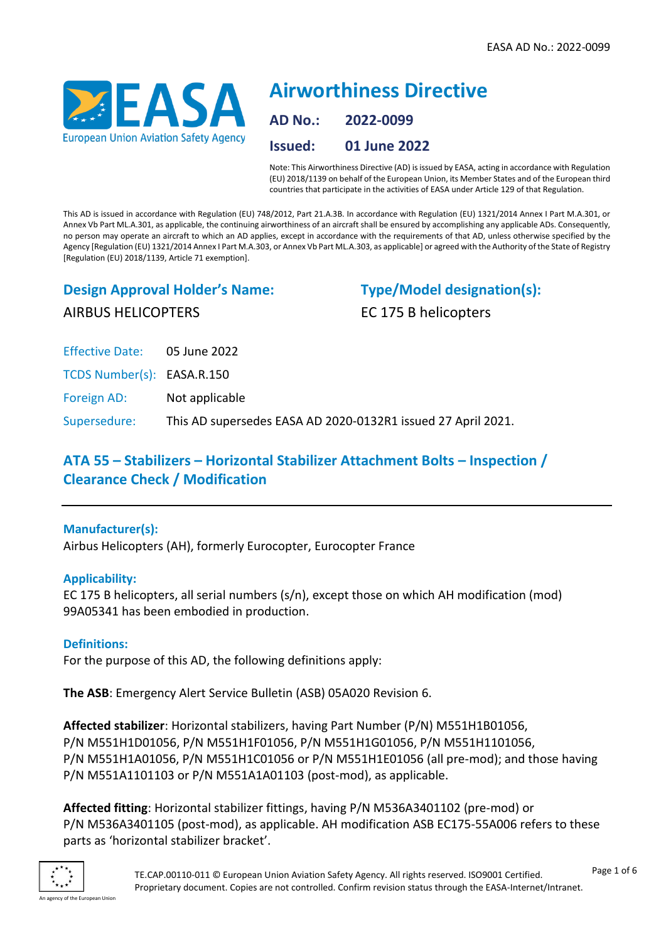

# **Airworthiness Directive AD No.: 2022-0099 Issued: 01 June 2022**

Note: This Airworthiness Directive (AD) is issued by EASA, acting in accordance with Regulation (EU) 2018/1139 on behalf of the European Union, its Member States and of the European third countries that participate in the activities of EASA under Article 129 of that Regulation.

This AD is issued in accordance with Regulation (EU) 748/2012, Part 21.A.3B. In accordance with Regulation (EU) 1321/2014 Annex I Part M.A.301, or Annex Vb Part ML.A.301, as applicable, the continuing airworthiness of an aircraft shall be ensured by accomplishing any applicable ADs. Consequently, no person may operate an aircraft to which an AD applies, except in accordance with the requirements of that AD, unless otherwise specified by the Agency [Regulation (EU) 1321/2014 Annex I Part M.A.303, or Annex Vb Part ML.A.303, as applicable] or agreed with the Authority of the State of Registry [Regulation (EU) 2018/1139, Article 71 exemption].

# **Design Approval Holder's Name:** AIRBUS HELICOPTERS

**Type/Model designation(s):** EC 175 B helicopters

Effective Date: 05 June 2022

TCDS Number(s): EASA.R.150

Foreign AD: Not applicable

Supersedure: This AD supersedes EASA AD 2020-0132R1 issued 27 April 2021.

# **ATA 55 – Stabilizers – Horizontal Stabilizer Attachment Bolts – Inspection / Clearance Check / Modification**

# **Manufacturer(s):**

Airbus Helicopters (AH), formerly Eurocopter, Eurocopter France

# **Applicability:**

EC 175 B helicopters, all serial numbers (s/n), except those on which AH modification (mod) 99A05341 has been embodied in production.

# **Definitions:**

For the purpose of this AD, the following definitions apply:

**The ASB**: Emergency Alert Service Bulletin (ASB) 05A020 Revision 6.

**Affected stabilizer**: Horizontal stabilizers, having Part Number (P/N) M551H1B01056, P/N M551H1D01056, P/N M551H1F01056, P/N M551H1G01056, P/N M551H1101056, P/N M551H1A01056, P/N M551H1C01056 or P/N M551H1E01056 (all pre-mod); and those having P/N M551A1101103 or P/N M551A1A01103 (post-mod), as applicable.

**Affected fitting**: Horizontal stabilizer fittings, having P/N M536A3401102 (pre-mod) or P/N M536A3401105 (post-mod), as applicable. AH modification ASB EC175-55A006 refers to these parts as 'horizontal stabilizer bracket'.

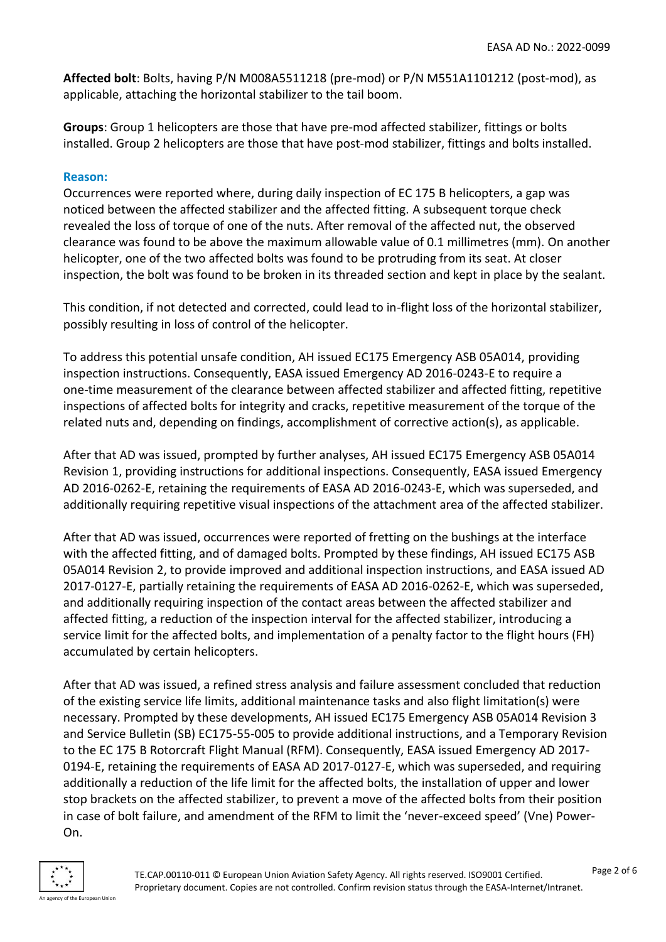**Affected bolt**: Bolts, having P/N M008A5511218 (pre-mod) or P/N M551A1101212 (post-mod), as applicable, attaching the horizontal stabilizer to the tail boom.

**Groups**: Group 1 helicopters are those that have pre-mod affected stabilizer, fittings or bolts installed. Group 2 helicopters are those that have post-mod stabilizer, fittings and bolts installed.

#### **Reason:**

Occurrences were reported where, during daily inspection of EC 175 B helicopters, a gap was noticed between the affected stabilizer and the affected fitting. A subsequent torque check revealed the loss of torque of one of the nuts. After removal of the affected nut, the observed clearance was found to be above the maximum allowable value of 0.1 millimetres (mm). On another helicopter, one of the two affected bolts was found to be protruding from its seat. At closer inspection, the bolt was found to be broken in its threaded section and kept in place by the sealant.

This condition, if not detected and corrected, could lead to in-flight loss of the horizontal stabilizer, possibly resulting in loss of control of the helicopter.

To address this potential unsafe condition, AH issued EC175 Emergency ASB 05A014, providing inspection instructions. Consequently, EASA issued Emergency AD 2016-0243-E to require a one-time measurement of the clearance between affected stabilizer and affected fitting, repetitive inspections of affected bolts for integrity and cracks, repetitive measurement of the torque of the related nuts and, depending on findings, accomplishment of corrective action(s), as applicable.

After that AD was issued, prompted by further analyses, AH issued EC175 Emergency ASB 05A014 Revision 1, providing instructions for additional inspections. Consequently, EASA issued Emergency AD 2016-0262-E, retaining the requirements of EASA AD 2016-0243-E, which was superseded, and additionally requiring repetitive visual inspections of the attachment area of the affected stabilizer.

After that AD was issued, occurrences were reported of fretting on the bushings at the interface with the affected fitting, and of damaged bolts. Prompted by these findings, AH issued EC175 ASB 05A014 Revision 2, to provide improved and additional inspection instructions, and EASA issued AD 2017-0127-E, partially retaining the requirements of EASA AD 2016-0262-E, which was superseded, and additionally requiring inspection of the contact areas between the affected stabilizer and affected fitting, a reduction of the inspection interval for the affected stabilizer, introducing a service limit for the affected bolts, and implementation of a penalty factor to the flight hours (FH) accumulated by certain helicopters.

After that AD was issued, a refined stress analysis and failure assessment concluded that reduction of the existing service life limits, additional maintenance tasks and also flight limitation(s) were necessary. Prompted by these developments, AH issued EC175 Emergency ASB 05A014 Revision 3 and Service Bulletin (SB) EC175-55-005 to provide additional instructions, and a Temporary Revision to the EC 175 B Rotorcraft Flight Manual (RFM). Consequently, EASA issued Emergency AD 2017- 0194-E, retaining the requirements of EASA AD 2017-0127-E, which was superseded, and requiring additionally a reduction of the life limit for the affected bolts, the installation of upper and lower stop brackets on the affected stabilizer, to prevent a move of the affected bolts from their position in case of bolt failure, and amendment of the RFM to limit the 'never-exceed speed' (Vne) Power-On.

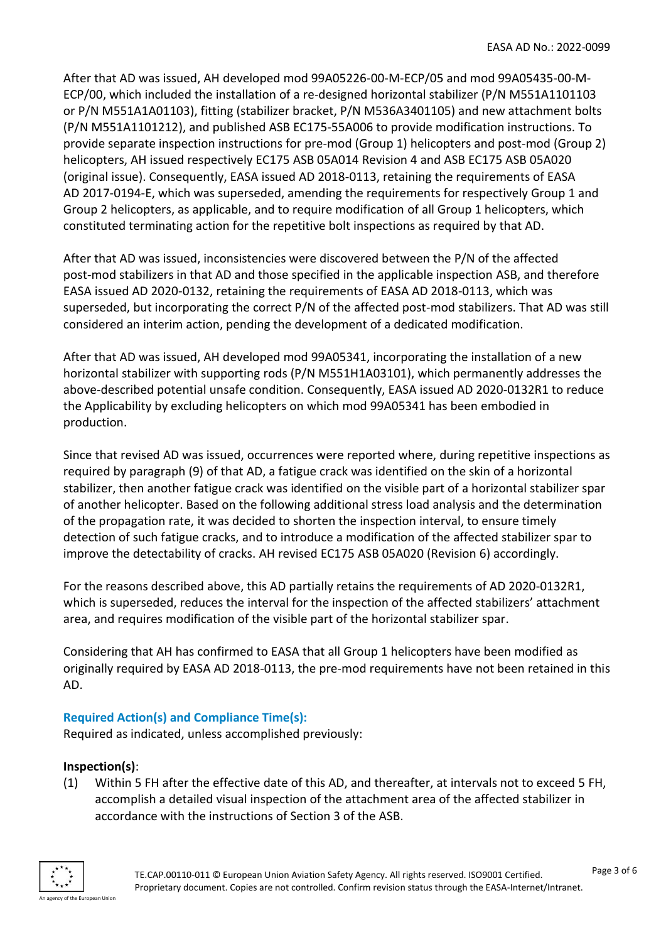After that AD was issued, AH developed mod 99A05226-00-M-ECP/05 and mod 99A05435-00-M-ECP/00, which included the installation of a re-designed horizontal stabilizer (P/N M551A1101103 or P/N M551A1A01103), fitting (stabilizer bracket, P/N M536A3401105) and new attachment bolts (P/N M551A1101212), and published ASB EC175-55A006 to provide modification instructions. To provide separate inspection instructions for pre-mod (Group 1) helicopters and post-mod (Group 2) helicopters, AH issued respectively EC175 ASB 05A014 Revision 4 and ASB EC175 ASB 05A020 (original issue). Consequently, EASA issued AD 2018-0113, retaining the requirements of EASA AD 2017-0194-E, which was superseded, amending the requirements for respectively Group 1 and Group 2 helicopters, as applicable, and to require modification of all Group 1 helicopters, which constituted terminating action for the repetitive bolt inspections as required by that AD.

After that AD was issued, inconsistencies were discovered between the P/N of the affected post-mod stabilizers in that AD and those specified in the applicable inspection ASB, and therefore EASA issued AD 2020-0132, retaining the requirements of EASA AD 2018-0113, which was superseded, but incorporating the correct P/N of the affected post-mod stabilizers. That AD was still considered an interim action, pending the development of a dedicated modification.

After that AD was issued, AH developed mod 99A05341, incorporating the installation of a new horizontal stabilizer with supporting rods (P/N M551H1A03101), which permanently addresses the above-described potential unsafe condition. Consequently, EASA issued AD 2020-0132R1 to reduce the Applicability by excluding helicopters on which mod 99A05341 has been embodied in production.

Since that revised AD was issued, occurrences were reported where, during repetitive inspections as required by paragraph (9) of that AD, a fatigue crack was identified on the skin of a horizontal stabilizer, then another fatigue crack was identified on the visible part of a horizontal stabilizer spar of another helicopter. Based on the following additional stress load analysis and the determination of the propagation rate, it was decided to shorten the inspection interval, to ensure timely detection of such fatigue cracks, and to introduce a modification of the affected stabilizer spar to improve the detectability of cracks. AH revised EC175 ASB 05A020 (Revision 6) accordingly.

For the reasons described above, this AD partially retains the requirements of AD 2020-0132R1, which is superseded, reduces the interval for the inspection of the affected stabilizers' attachment area, and requires modification of the visible part of the horizontal stabilizer spar.

Considering that AH has confirmed to EASA that all Group 1 helicopters have been modified as originally required by EASA AD 2018-0113, the pre-mod requirements have not been retained in this AD.

# **Required Action(s) and Compliance Time(s):**

Required as indicated, unless accomplished previously:

# **Inspection(s)**:

(1) Within 5 FH after the effective date of this AD, and thereafter, at intervals not to exceed 5 FH, accomplish a detailed visual inspection of the attachment area of the affected stabilizer in accordance with the instructions of Section 3 of the ASB.

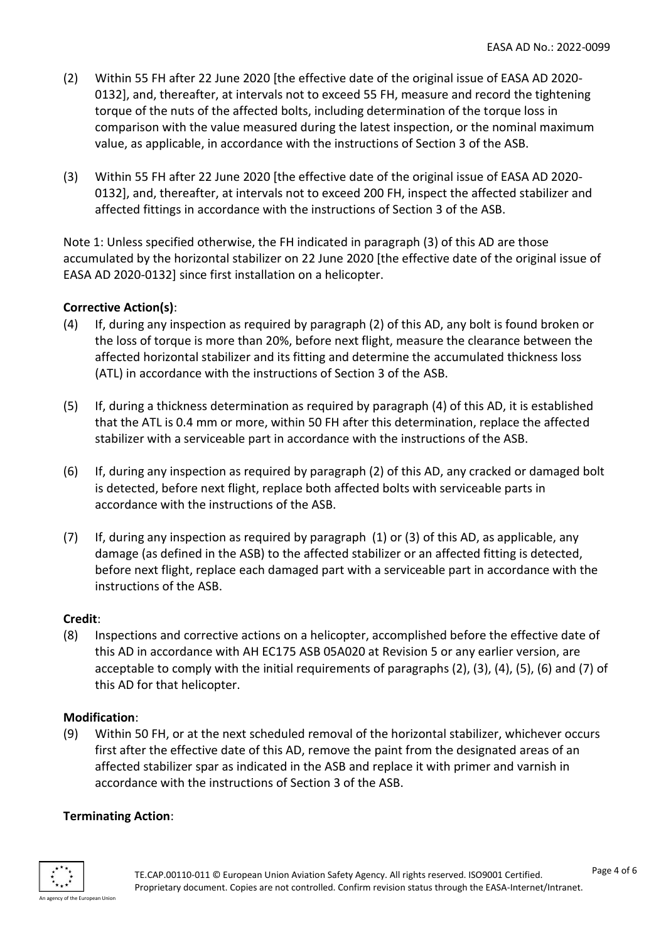- (2) Within 55 FH after 22 June 2020 [the effective date of the original issue of EASA AD 2020- 0132], and, thereafter, at intervals not to exceed 55 FH, measure and record the tightening torque of the nuts of the affected bolts, including determination of the torque loss in comparison with the value measured during the latest inspection, or the nominal maximum value, as applicable, in accordance with the instructions of Section 3 of the ASB.
- (3) Within 55 FH after 22 June 2020 [the effective date of the original issue of EASA AD 2020- 0132], and, thereafter, at intervals not to exceed 200 FH, inspect the affected stabilizer and affected fittings in accordance with the instructions of Section 3 of the ASB.

Note 1: Unless specified otherwise, the FH indicated in paragraph (3) of this AD are those accumulated by the horizontal stabilizer on 22 June 2020 [the effective date of the original issue of EASA AD 2020-0132] since first installation on a helicopter.

# **Corrective Action(s)**:

- (4) If, during any inspection as required by paragraph (2) of this AD, any bolt is found broken or the loss of torque is more than 20%, before next flight, measure the clearance between the affected horizontal stabilizer and its fitting and determine the accumulated thickness loss (ATL) in accordance with the instructions of Section 3 of the ASB.
- (5) If, during a thickness determination as required by paragraph (4) of this AD, it is established that the ATL is 0.4 mm or more, within 50 FH after this determination, replace the affected stabilizer with a serviceable part in accordance with the instructions of the ASB.
- (6) If, during any inspection as required by paragraph (2) of this AD, any cracked or damaged bolt is detected, before next flight, replace both affected bolts with serviceable parts in accordance with the instructions of the ASB.
- (7) If, during any inspection as required by paragraph (1) or (3) of this AD, as applicable, any damage (as defined in the ASB) to the affected stabilizer or an affected fitting is detected, before next flight, replace each damaged part with a serviceable part in accordance with the instructions of the ASB.

# **Credit**:

(8) Inspections and corrective actions on a helicopter, accomplished before the effective date of this AD in accordance with AH EC175 ASB 05A020 at Revision 5 or any earlier version, are acceptable to comply with the initial requirements of paragraphs (2), (3), (4), (5), (6) and (7) of this AD for that helicopter.

#### **Modification**:

(9) Within 50 FH, or at the next scheduled removal of the horizontal stabilizer, whichever occurs first after the effective date of this AD, remove the paint from the designated areas of an affected stabilizer spar as indicated in the ASB and replace it with primer and varnish in accordance with the instructions of Section 3 of the ASB.

#### **Terminating Action**:

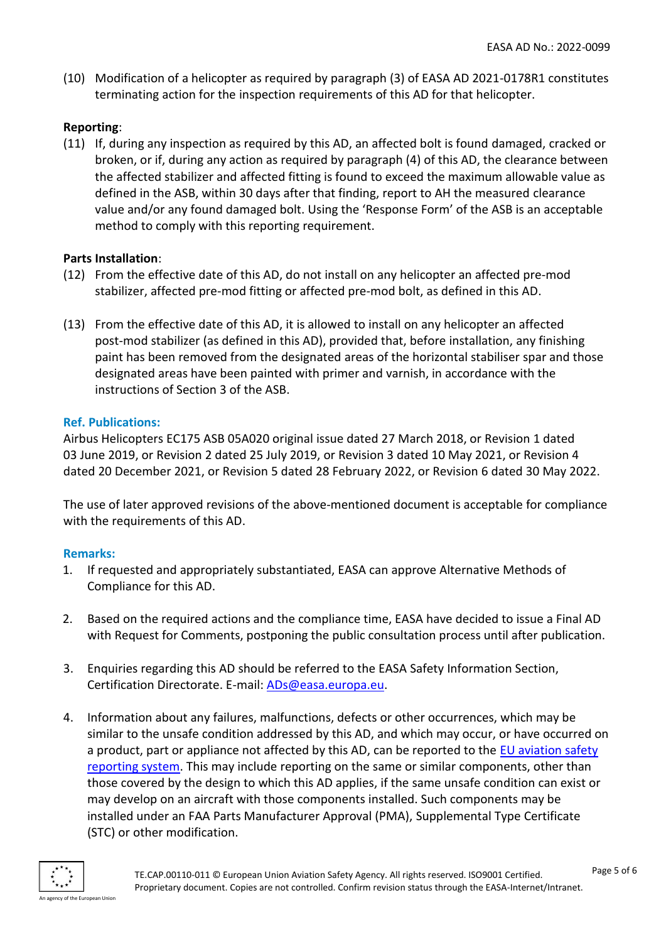(10) Modification of a helicopter as required by paragraph (3) of EASA AD 2021-0178R1 constitutes terminating action for the inspection requirements of this AD for that helicopter.

#### **Reporting**:

(11) If, during any inspection as required by this AD, an affected bolt is found damaged, cracked or broken, or if, during any action as required by paragraph (4) of this AD, the clearance between the affected stabilizer and affected fitting is found to exceed the maximum allowable value as defined in the ASB, within 30 days after that finding, report to AH the measured clearance value and/or any found damaged bolt. Using the 'Response Form' of the ASB is an acceptable method to comply with this reporting requirement.

#### **Parts Installation**:

- (12) From the effective date of this AD, do not install on any helicopter an affected pre-mod stabilizer, affected pre-mod fitting or affected pre-mod bolt, as defined in this AD.
- (13) From the effective date of this AD, it is allowed to install on any helicopter an affected post-mod stabilizer (as defined in this AD), provided that, before installation, any finishing paint has been removed from the designated areas of the horizontal stabiliser spar and those designated areas have been painted with primer and varnish, in accordance with the instructions of Section 3 of the ASB.

#### **Ref. Publications:**

Airbus Helicopters EC175 ASB 05A020 original issue dated 27 March 2018, or Revision 1 dated 03 June 2019, or Revision 2 dated 25 July 2019, or Revision 3 dated 10 May 2021, or Revision 4 dated 20 December 2021, or Revision 5 dated 28 February 2022, or Revision 6 dated 30 May 2022.

The use of later approved revisions of the above-mentioned document is acceptable for compliance with the requirements of this AD.

# **Remarks:**

- 1. If requested and appropriately substantiated, EASA can approve Alternative Methods of Compliance for this AD.
- 2. Based on the required actions and the compliance time, EASA have decided to issue a Final AD with Request for Comments, postponing the public consultation process until after publication.
- 3. Enquiries regarding this AD should be referred to the EASA Safety Information Section, Certification Directorate. E-mail: [ADs@easa.europa.eu.](mailto:ADs@easa.europa.eu)
- 4. Information about any failures, malfunctions, defects or other occurrences, which may be similar to the unsafe condition addressed by this AD, and which may occur, or have occurred on a product, part or appliance not affected by this AD, can be reported to the [EU aviation safety](https://e2.aviationreporting.eu/reporting)  [reporting system.](https://e2.aviationreporting.eu/reporting) This may include reporting on the same or similar components, other than those covered by the design to which this AD applies, if the same unsafe condition can exist or may develop on an aircraft with those components installed. Such components may be installed under an FAA Parts Manufacturer Approval (PMA), Supplemental Type Certificate (STC) or other modification.